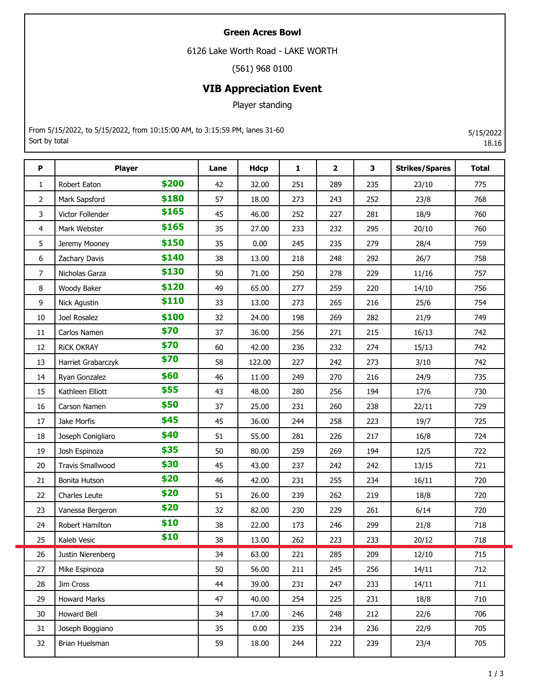## **Green Acres Bowl**

6126 Lake Worth Road - LAKE WORTH

(561) 968 0100

## **VIB Appreciation Event**

Player standing

From 5/15/2022, to 5/15/2022, from 10:15:00 AM, to 3:15:59 PM, lanes 31-60 Sort by total

**P Player Lane Hdcp 1 2 3 Strikes/Spares Total** 1 Robert Eaton **\$200** 42 32.00 251 289 235 23/10 775 2 Mark Sapsford 57 18.00 273 243 252 23/8 768 3 Victor Follender **5165** 45 46.00 252 227 281 18/9 760 4 Mark Webster 35 27.00 233 232 295 20/10 760 5 Jeremy Mooney 5150 35 0.00 245 235 279 28/4 759 6 Zachary Davis 38 13.00 218 248 292 26/7 758 7 Nicholas Garza 50 71.00 250 278 229 11/16 757 8 Woody Baker **5120** | 49 | 65.00 | 277 | 259 | 220 | 14/10 | 756 9 Nick Agustin 33 13.00 273 265 216 25/6 754 10 Joel Rosalez **\$100** | 32 | 24.00 | 198 | 269 | 282 | 21/9 | 749 11 | Carlos Namen **37 | 36.00 | 256 | 271 | 215 | 16/13** | 742 12 RICK OKRAY **570** 60 42.00 236 232 274 15/13 2342 13 | Harriet Grabarczyk **\$70** | 58 | 122.00 | 227 | 242 | 273 | 3/10 | 742 14 Ryan Gonzalez **560** | 46 | 11.00 | 249 | 270 | 216 | 24/9 | 735 15 Kathleen Elliott 43 48.00 280 256 194 17/6 730 16 | Carson Namen **350** | 37 | 25.00 | 231 | 260 | 238 | 22/11 | 729 17 Jake Morfis 45 36.00 244 258 223 19/7 725 18 Joseph Conigliaro **\$40** | 51 | 55.00 | 281 | 226 | 217 | 16/8 | 724 19 Josh Espinoza 50 80.00 259 269 194 12/5 722 20 Travis Smallwood **\$30** 45 43.00 237 242 242 13/15 721 21 Bonita Hutson 46 42.00 231 255 234 16/11 720 22 Charles Leute **520** | 51 | 26.00 | 239 | 262 | 219 | 18/8 | 720 23 Vanessa Bergeron **\$20** 32 82.00 230 229 261 6/14 720 24 Robert Hamilton **\$10** | 38 | 22.00 | 173 | 246 | 299 | 21/8 | 718 25 Kaleb Vesic 38 13.00 262 223 233 20/12 718 26 Justin Nierenberg 34 63.00 221 285 209 12/10 715 27 Mike Espinoza 50 56.00 211 245 256 14/11 712 28 Jim Cross 1980 1991 1992 10 144 | 39.00 | 231 | 247 | 233 | 14/11 | 711 29 Howard Marks 47 40.00 254 225 231 18/8 710 30 Howard Bell 34 17.00 246 248 212 22/6 706 31 Joseph Boggiano 35 0.00 235 234 236 22/9 705 32 Brian Huelsman 59 18.00 244 222 239 23/4 705 **\$200 \$180 \$165 \$165 \$150 \$140 \$130 \$120 \$110 \$100 \$70 \$70 \$70 \$60 \$55 \$50 \$45 \$40 \$35 \$30 \$20 \$20 \$20 \$10 \$10**

5/15/2022 18.16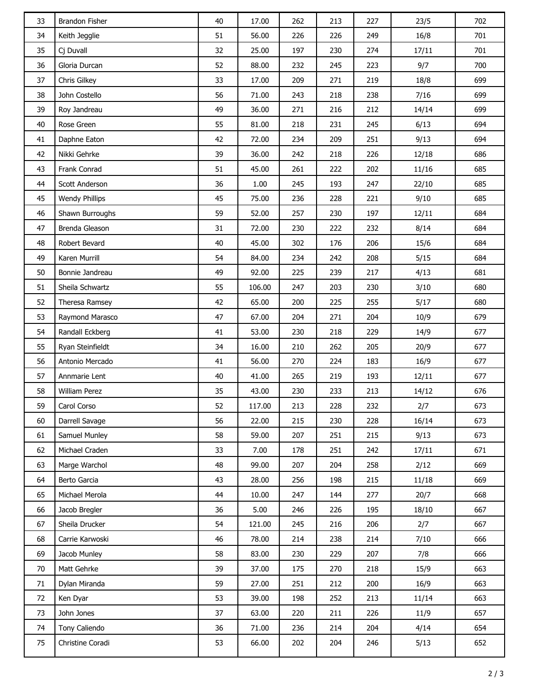| 33 | <b>Brandon Fisher</b> | 40 | 17.00  | 262 | 213 | 227 | 23/5  | 702 |
|----|-----------------------|----|--------|-----|-----|-----|-------|-----|
| 34 | Keith Jegglie         | 51 | 56.00  | 226 | 226 | 249 | 16/8  | 701 |
| 35 | Cj Duvall             | 32 | 25.00  | 197 | 230 | 274 | 17/11 | 701 |
| 36 | Gloria Durcan         | 52 | 88.00  | 232 | 245 | 223 | 9/7   | 700 |
| 37 | Chris Gilkey          | 33 | 17.00  | 209 | 271 | 219 | 18/8  | 699 |
| 38 | John Costello         | 56 | 71.00  | 243 | 218 | 238 | 7/16  | 699 |
| 39 | Roy Jandreau          | 49 | 36.00  | 271 | 216 | 212 | 14/14 | 699 |
| 40 | Rose Green            | 55 | 81.00  | 218 | 231 | 245 | 6/13  | 694 |
| 41 | Daphne Eaton          | 42 | 72.00  | 234 | 209 | 251 | 9/13  | 694 |
| 42 | Nikki Gehrke          | 39 | 36.00  | 242 | 218 | 226 | 12/18 | 686 |
| 43 | Frank Conrad          | 51 | 45.00  | 261 | 222 | 202 | 11/16 | 685 |
| 44 | Scott Anderson        | 36 | 1.00   | 245 | 193 | 247 | 22/10 | 685 |
| 45 | <b>Wendy Phillips</b> | 45 | 75.00  | 236 | 228 | 221 | 9/10  | 685 |
| 46 | Shawn Burroughs       | 59 | 52.00  | 257 | 230 | 197 | 12/11 | 684 |
| 47 | Brenda Gleason        | 31 | 72.00  | 230 | 222 | 232 | 8/14  | 684 |
| 48 | Robert Bevard         | 40 | 45.00  | 302 | 176 | 206 | 15/6  | 684 |
| 49 | Karen Murrill         | 54 | 84.00  | 234 | 242 | 208 | 5/15  | 684 |
| 50 | Bonnie Jandreau       | 49 | 92.00  | 225 | 239 | 217 | 4/13  | 681 |
| 51 | Sheila Schwartz       | 55 | 106.00 | 247 | 203 | 230 | 3/10  | 680 |
| 52 | Theresa Ramsey        | 42 | 65.00  | 200 | 225 | 255 | 5/17  | 680 |
| 53 | Raymond Marasco       | 47 | 67.00  | 204 | 271 | 204 | 10/9  | 679 |
| 54 | Randall Eckberg       | 41 | 53.00  | 230 | 218 | 229 | 14/9  | 677 |
| 55 | Ryan Steinfieldt      | 34 | 16.00  | 210 | 262 | 205 | 20/9  | 677 |
| 56 | Antonio Mercado       | 41 | 56.00  | 270 | 224 | 183 | 16/9  | 677 |
| 57 | Annmarie Lent         | 40 | 41.00  | 265 | 219 | 193 | 12/11 | 677 |
| 58 | William Perez         | 35 | 43.00  | 230 | 233 | 213 | 14/12 | 676 |
| 59 | Carol Corso           | 52 | 117.00 | 213 | 228 | 232 | 2/7   | 673 |
| 60 | Darrell Savage        | 56 | 22.00  | 215 | 230 | 228 | 16/14 | 673 |
| 61 | Samuel Munley         | 58 | 59.00  | 207 | 251 | 215 | 9/13  | 673 |
| 62 | Michael Craden        | 33 | 7.00   | 178 | 251 | 242 | 17/11 | 671 |
| 63 | Marge Warchol         | 48 | 99.00  | 207 | 204 | 258 | 2/12  | 669 |
| 64 | Berto Garcia          | 43 | 28.00  | 256 | 198 | 215 | 11/18 | 669 |
| 65 | Michael Merola        | 44 | 10.00  | 247 | 144 | 277 | 20/7  | 668 |
| 66 | Jacob Bregler         | 36 | 5.00   | 246 | 226 | 195 | 18/10 | 667 |
| 67 | Sheila Drucker        | 54 | 121.00 | 245 | 216 | 206 | 2/7   | 667 |
| 68 | Carrie Karwoski       | 46 | 78.00  | 214 | 238 | 214 | 7/10  | 666 |
| 69 | Jacob Munley          | 58 | 83.00  | 230 | 229 | 207 | 7/8   | 666 |
| 70 | Matt Gehrke           | 39 | 37.00  | 175 | 270 | 218 | 15/9  | 663 |
| 71 | Dylan Miranda         | 59 | 27.00  | 251 | 212 | 200 | 16/9  | 663 |
| 72 | Ken Dyar              | 53 | 39.00  | 198 | 252 | 213 | 11/14 | 663 |
| 73 | John Jones            | 37 | 63.00  | 220 | 211 | 226 | 11/9  | 657 |
| 74 | Tony Caliendo         | 36 | 71.00  | 236 | 214 | 204 | 4/14  | 654 |
| 75 | Christine Coradi      | 53 | 66.00  | 202 | 204 | 246 | 5/13  | 652 |